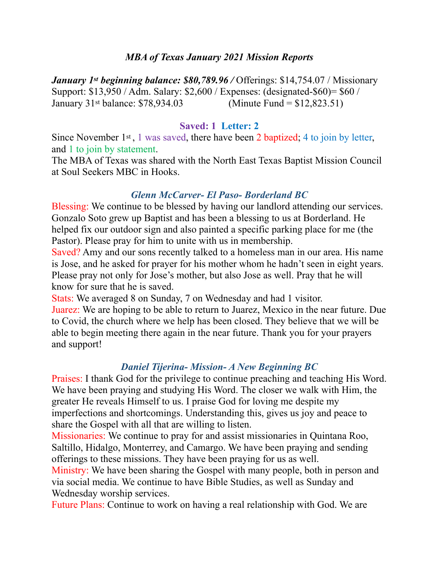### *MBA of Texas January 2021 Mission Reports*

*January 1st beginning balance: \$80,789.96 /* Offerings: \$14,754.07 / Missionary Support: \$13,950 / Adm. Salary: \$2,600 / Expenses: (designated-\$60)= \$60 / January 31st balance: \$78,934.03 (Minute Fund = \$12,823.51)

#### **Saved: 1 Letter: 2**

Since November  $1<sup>st</sup>$ , 1 was saved, there have been 2 baptized; 4 to join by letter, and 1 to join by statement.

The MBA of Texas was shared with the North East Texas Baptist Mission Council at Soul Seekers MBC in Hooks.

### *Glenn McCarver- El Paso- Borderland BC*

Blessing: We continue to be blessed by having our landlord attending our services. Gonzalo Soto grew up Baptist and has been a blessing to us at Borderland. He helped fix our outdoor sign and also painted a specific parking place for me (the Pastor). Please pray for him to unite with us in membership.

Saved? Amy and our sons recently talked to a homeless man in our area. His name is Jose, and he asked for prayer for his mother whom he hadn't seen in eight years. Please pray not only for Jose's mother, but also Jose as well. Pray that he will know for sure that he is saved.

Stats: We averaged 8 on Sunday, 7 on Wednesday and had 1 visitor.

Juarez: We are hoping to be able to return to Juarez, Mexico in the near future. Due to Covid, the church where we help has been closed. They believe that we will be able to begin meeting there again in the near future. Thank you for your prayers and support!

### *Daniel Tijerina- Mission- A New Beginning BC*

Praises: I thank God for the privilege to continue preaching and teaching His Word. We have been praying and studying His Word. The closer we walk with Him, the greater He reveals Himself to us. I praise God for loving me despite my imperfections and shortcomings. Understanding this, gives us joy and peace to share the Gospel with all that are willing to listen.

Missionaries: We continue to pray for and assist missionaries in Quintana Roo, Saltillo, Hidalgo, Monterrey, and Camargo. We have been praying and sending offerings to these missions. They have been praying for us as well.

Ministry: We have been sharing the Gospel with many people, both in person and via social media. We continue to have Bible Studies, as well as Sunday and Wednesday worship services.

Future Plans: Continue to work on having a real relationship with God. We are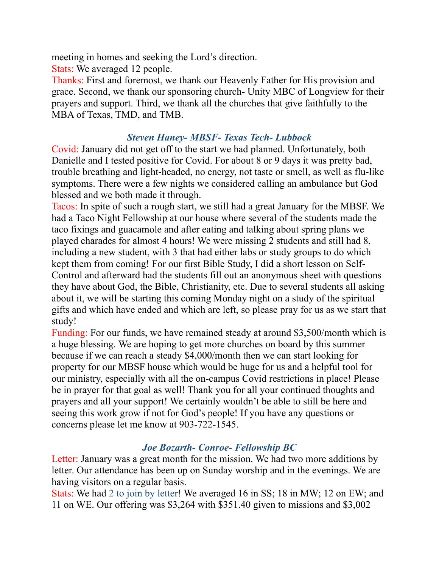meeting in homes and seeking the Lord's direction.

Stats: We averaged 12 people.

Thanks: First and foremost, we thank our Heavenly Father for His provision and grace. Second, we thank our sponsoring church- Unity MBC of Longview for their prayers and support. Third, we thank all the churches that give faithfully to the MBA of Texas, TMD, and TMB.

## *Steven Haney- MBSF- Texas Tech- Lubbock*

Covid: January did not get off to the start we had planned. Unfortunately, both Danielle and I tested positive for Covid. For about 8 or 9 days it was pretty bad, trouble breathing and light-headed, no energy, not taste or smell, as well as flu-like symptoms. There were a few nights we considered calling an ambulance but God blessed and we both made it through.

Tacos: In spite of such a rough start, we still had a great January for the MBSF. We had a Taco Night Fellowship at our house where several of the students made the taco fixings and guacamole and after eating and talking about spring plans we played charades for almost 4 hours! We were missing 2 students and still had 8, including a new student, with 3 that had either labs or study groups to do which kept them from coming! For our first Bible Study, I did a short lesson on Self-Control and afterward had the students fill out an anonymous sheet with questions they have about God, the Bible, Christianity, etc. Due to several students all asking about it, we will be starting this coming Monday night on a study of the spiritual gifts and which have ended and which are left, so please pray for us as we start that study!

Funding: For our funds, we have remained steady at around \$3,500/month which is a huge blessing. We are hoping to get more churches on board by this summer because if we can reach a steady \$4,000/month then we can start looking for property for our MBSF house which would be huge for us and a helpful tool for our ministry, especially with all the on-campus Covid restrictions in place! Please be in prayer for that goal as well! Thank you for all your continued thoughts and prayers and all your support! We certainly wouldn't be able to still be here and seeing this work grow if not for God's people! If you have any questions or concerns please let me know at 903-722-1545.

# *Joe Bozarth- Conroe- Fellowship BC*

Letter: January was a great month for the mission. We had two more additions by letter. Our attendance has been up on Sunday worship and in the evenings. We are having visitors on a regular basis.

Stats: We had 2 to join by letter! We averaged 16 in SS; 18 in MW; 12 on EW; and 11 on WE. Our offering was \$3,264 with \$351.40 given to missions and \$3,002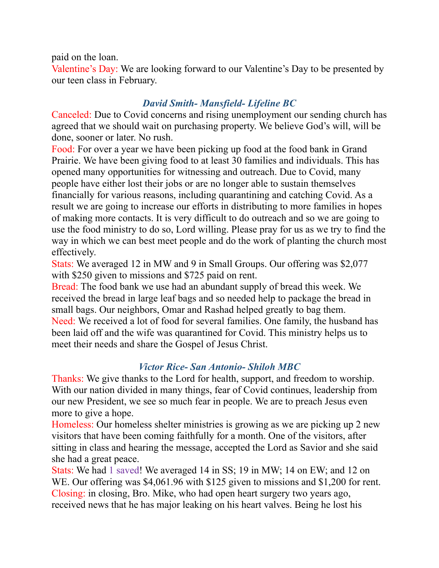#### paid on the loan.

Valentine's Day: We are looking forward to our Valentine's Day to be presented by our teen class in February.

### *David Smith- Mansfield- Lifeline BC*

Canceled: Due to Covid concerns and rising unemployment our sending church has agreed that we should wait on purchasing property. We believe God's will, will be done, sooner or later. No rush.

Food: For over a year we have been picking up food at the food bank in Grand Prairie. We have been giving food to at least 30 families and individuals. This has opened many opportunities for witnessing and outreach. Due to Covid, many people have either lost their jobs or are no longer able to sustain themselves financially for various reasons, including quarantining and catching Covid. As a result we are going to increase our efforts in distributing to more families in hopes of making more contacts. It is very difficult to do outreach and so we are going to use the food ministry to do so, Lord willing. Please pray for us as we try to find the way in which we can best meet people and do the work of planting the church most effectively.

Stats: We averaged 12 in MW and 9 in Small Groups. Our offering was \$2,077 with \$250 given to missions and \$725 paid on rent.

Bread: The food bank we use had an abundant supply of bread this week. We received the bread in large leaf bags and so needed help to package the bread in small bags. Our neighbors, Omar and Rashad helped greatly to bag them. Need: We received a lot of food for several families. One family, the husband has been laid off and the wife was quarantined for Covid. This ministry helps us to meet their needs and share the Gospel of Jesus Christ.

## *Victor Rice- San Antonio- Shiloh MBC*

Thanks: We give thanks to the Lord for health, support, and freedom to worship. With our nation divided in many things, fear of Covid continues, leadership from our new President, we see so much fear in people. We are to preach Jesus even more to give a hope.

Homeless: Our homeless shelter ministries is growing as we are picking up 2 new visitors that have been coming faithfully for a month. One of the visitors, after sitting in class and hearing the message, accepted the Lord as Savior and she said she had a great peace.

Stats: We had 1 saved! We averaged 14 in SS; 19 in MW; 14 on EW; and 12 on WE. Our offering was \$4,061.96 with \$125 given to missions and \$1,200 for rent. Closing: in closing, Bro. Mike, who had open heart surgery two years ago, received news that he has major leaking on his heart valves. Being he lost his